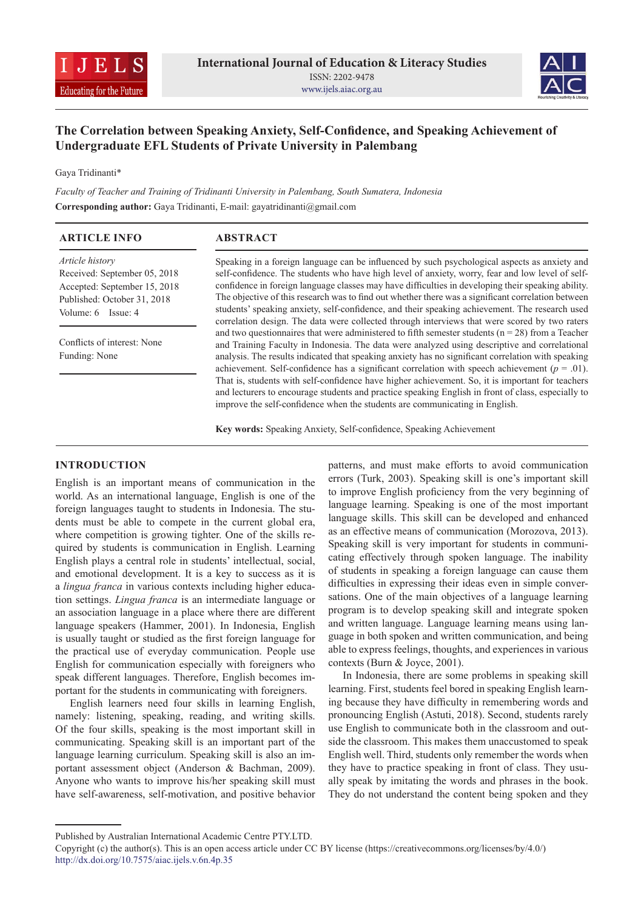



# **The Correlation between Speaking Anxiety, Self-Confidence, and Speaking Achievement of Undergraduate EFL Students of Private University in Palembang**

Gaya Tridinanti\*

*Faculty of Teacher and Training of Tridinanti University in Palembang, South Sumatera, Indonesia* **Corresponding author:** Gaya Tridinanti, E-mail: gayatridinanti@gmail.com

| <b>ARTICLE INFO</b>                                                                                                                                                                  | <b>ABSTRACT</b>                                                                                                                                                                                                                                                                                                                                                                                                                                                                                                 |  |  |
|--------------------------------------------------------------------------------------------------------------------------------------------------------------------------------------|-----------------------------------------------------------------------------------------------------------------------------------------------------------------------------------------------------------------------------------------------------------------------------------------------------------------------------------------------------------------------------------------------------------------------------------------------------------------------------------------------------------------|--|--|
| Article history<br>Received: September 05, 2018<br>Accepted: September 15, 2018<br>Published: October 31, 2018<br>Volume: 6 Issue: 4<br>Conflicts of interest: None<br>Funding: None | Speaking in a foreign language can be influenced by such psychological aspects as anxiety and<br>self-confidence. The students who have high level of anxiety, worry, fear and low level of self-<br>confidence in foreign language classes may have difficulties in developing their speaking ability.<br>The objective of this research was to find out whether there was a significant correlation between<br>students' speaking anxiety, self-confidence, and their speaking achievement. The research used |  |  |
|                                                                                                                                                                                      | correlation design. The data were collected through interviews that were scored by two raters<br>and two questionnaires that were administered to fifth semester students ( $n = 28$ ) from a Teacher<br>and Training Faculty in Indonesia. The data were analyzed using descriptive and correlational<br>analysis. The results indicated that speaking anxiety has no significant correlation with speaking                                                                                                    |  |  |
|                                                                                                                                                                                      | achievement. Self-confidence has a significant correlation with speech achievement ( $p = .01$ ).<br>That is, students with self-confidence have higher achievement. So, it is important for teachers<br>and lecturers to encourage students and practice speaking English in front of class, especially to<br>improve the self-confidence when the students are communicating in English.                                                                                                                      |  |  |

**Key words:** Speaking Anxiety, Self-confidence, Speaking Achievement

## **INTRODUCTION**

English is an important means of communication in the world. As an international language, English is one of the foreign languages taught to students in Indonesia. The students must be able to compete in the current global era, where competition is growing tighter. One of the skills required by students is communication in English. Learning English plays a central role in students' intellectual, social, and emotional development. It is a key to success as it is a *lingua franca* in various contexts including higher education settings. *Lingua franca* is an intermediate language or an association language in a place where there are different language speakers (Hammer, 2001). In Indonesia, English is usually taught or studied as the first foreign language for the practical use of everyday communication. People use English for communication especially with foreigners who speak different languages. Therefore, English becomes important for the students in communicating with foreigners.

English learners need four skills in learning English, namely: listening, speaking, reading, and writing skills. Of the four skills, speaking is the most important skill in communicating. Speaking skill is an important part of the language learning curriculum. Speaking skill is also an important assessment object (Anderson & Bachman, 2009). Anyone who wants to improve his/her speaking skill must have self-awareness, self-motivation, and positive behavior

patterns, and must make efforts to avoid communication errors (Turk, 2003). Speaking skill is one's important skill to improve English proficiency from the very beginning of language learning. Speaking is one of the most important language skills. This skill can be developed and enhanced as an effective means of communication (Morozova, 2013). Speaking skill is very important for students in communicating effectively through spoken language. The inability of students in speaking a foreign language can cause them difficulties in expressing their ideas even in simple conversations. One of the main objectives of a language learning program is to develop speaking skill and integrate spoken and written language. Language learning means using language in both spoken and written communication, and being able to express feelings, thoughts, and experiences in various contexts (Burn & Joyce, 2001).

In Indonesia, there are some problems in speaking skill learning. First, students feel bored in speaking English learning because they have difficulty in remembering words and pronouncing English (Astuti, 2018). Second, students rarely use English to communicate both in the classroom and outside the classroom. This makes them unaccustomed to speak English well. Third, students only remember the words when they have to practice speaking in front of class. They usually speak by imitating the words and phrases in the book. They do not understand the content being spoken and they

Published by Australian International Academic Centre PTY.LTD.

Copyright (c) the author(s). This is an open access article under CC BY license (https://creativecommons.org/licenses/by/4.0/) http://dx.doi.org/10.7575/aiac.ijels.v.6n.4p.35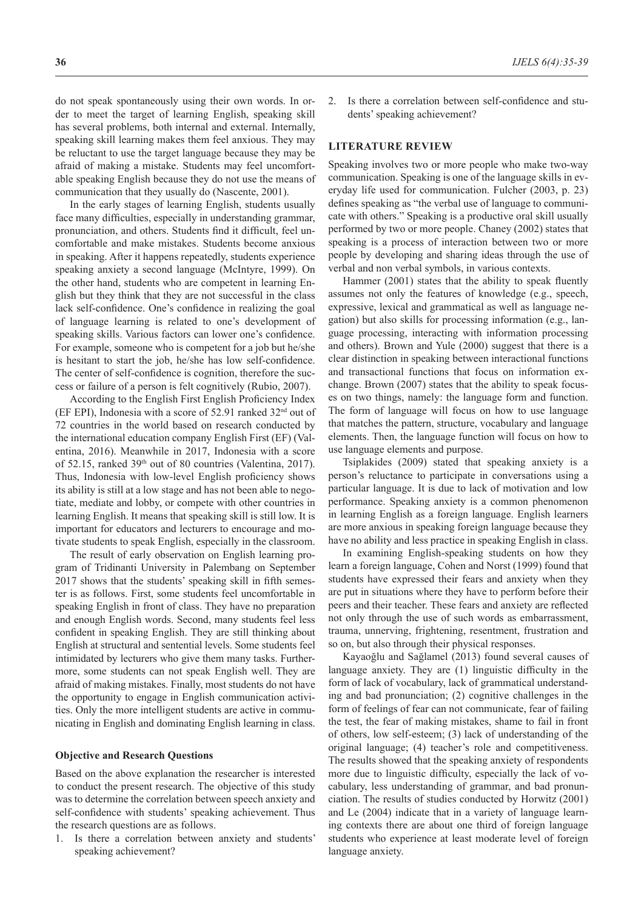do not speak spontaneously using their own words. In order to meet the target of learning English, speaking skill has several problems, both internal and external. Internally, speaking skill learning makes them feel anxious. They may be reluctant to use the target language because they may be afraid of making a mistake. Students may feel uncomfortable speaking English because they do not use the means of communication that they usually do (Nascente, 2001).

In the early stages of learning English, students usually face many difficulties, especially in understanding grammar, pronunciation, and others. Students find it difficult, feel uncomfortable and make mistakes. Students become anxious in speaking. After it happens repeatedly, students experience speaking anxiety a second language (McIntyre, 1999). On the other hand, students who are competent in learning English but they think that they are not successful in the class lack self-confidence. One's confidence in realizing the goal of language learning is related to one's development of speaking skills. Various factors can lower one's confidence. For example, someone who is competent for a job but he/she is hesitant to start the job, he/she has low self-confidence. The center of self-confidence is cognition, therefore the success or failure of a person is felt cognitively (Rubio, 2007).

According to the English First English Proficiency Index (EF EPI), Indonesia with a score of 52.91 ranked 32nd out of 72 countries in the world based on research conducted by the international education company English First (EF) (Valentina, 2016). Meanwhile in 2017, Indonesia with a score of 52.15, ranked 39<sup>th</sup> out of 80 countries (Valentina, 2017). Thus, Indonesia with low-level English proficiency shows its ability is still at a low stage and has not been able to negotiate, mediate and lobby, or compete with other countries in learning English. It means that speaking skill is still low. It is important for educators and lecturers to encourage and motivate students to speak English, especially in the classroom.

The result of early observation on English learning program of Tridinanti University in Palembang on September 2017 shows that the students' speaking skill in fifth semester is as follows. First, some students feel uncomfortable in speaking English in front of class. They have no preparation and enough English words. Second, many students feel less confident in speaking English. They are still thinking about English at structural and sentential levels. Some students feel intimidated by lecturers who give them many tasks. Furthermore, some students can not speak English well. They are afraid of making mistakes. Finally, most students do not have the opportunity to engage in English communication activities. Only the more intelligent students are active in communicating in English and dominating English learning in class.

#### **Objective and Research Questions**

Based on the above explanation the researcher is interested to conduct the present research. The objective of this study was to determine the correlation between speech anxiety and self-confidence with students' speaking achievement. Thus the research questions are as follows.

1. Is there a correlation between anxiety and students' speaking achievement?

2. Is there a correlation between self-confidence and students' speaking achievement?

#### **LITERATURE REVIEW**

Speaking involves two or more people who make two-way communication. Speaking is one of the language skills in everyday life used for communication. Fulcher (2003, p. 23) defines speaking as "the verbal use of language to communicate with others." Speaking is a productive oral skill usually performed by two or more people. Chaney (2002) states that speaking is a process of interaction between two or more people by developing and sharing ideas through the use of verbal and non verbal symbols, in various contexts.

Hammer (2001) states that the ability to speak fluently assumes not only the features of knowledge (e.g., speech, expressive, lexical and grammatical as well as language negation) but also skills for processing information (e.g., language processing, interacting with information processing and others). Brown and Yule (2000) suggest that there is a clear distinction in speaking between interactional functions and transactional functions that focus on information exchange. Brown (2007) states that the ability to speak focuses on two things, namely: the language form and function. The form of language will focus on how to use language that matches the pattern, structure, vocabulary and language elements. Then, the language function will focus on how to use language elements and purpose.

Tsiplakides (2009) stated that speaking anxiety is a person's reluctance to participate in conversations using a particular language. It is due to lack of motivation and low performance. Speaking anxiety is a common phenomenon in learning English as a foreign language. English learners are more anxious in speaking foreign language because they have no ability and less practice in speaking English in class.

In examining English-speaking students on how they learn a foreign language, Cohen and Norst (1999) found that students have expressed their fears and anxiety when they are put in situations where they have to perform before their peers and their teacher. These fears and anxiety are reflected not only through the use of such words as embarrassment, trauma, unnerving, frightening, resentment, frustration and so on, but also through their physical responses.

Kayaoğlu and Sağlamel (2013) found several causes of language anxiety. They are (1) linguistic difficulty in the form of lack of vocabulary, lack of grammatical understanding and bad pronunciation; (2) cognitive challenges in the form of feelings of fear can not communicate, fear of failing the test, the fear of making mistakes, shame to fail in front of others, low self-esteem; (3) lack of understanding of the original language; (4) teacher's role and competitiveness. The results showed that the speaking anxiety of respondents more due to linguistic difficulty, especially the lack of vocabulary, less understanding of grammar, and bad pronunciation. The results of studies conducted by Horwitz (2001) and Le (2004) indicate that in a variety of language learning contexts there are about one third of foreign language students who experience at least moderate level of foreign language anxiety.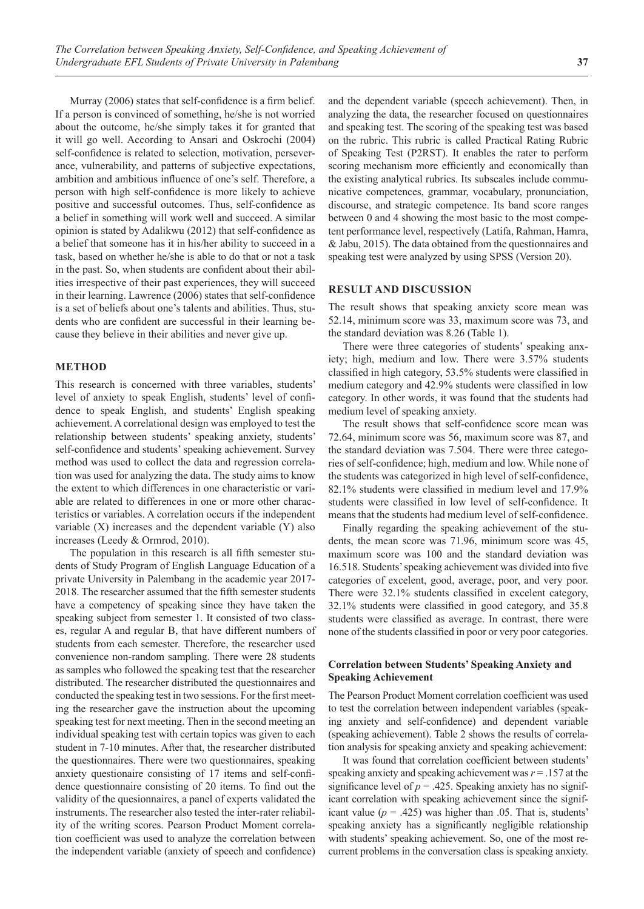Murray (2006) states that self-confidence is a firm belief. If a person is convinced of something, he/she is not worried about the outcome, he/she simply takes it for granted that it will go well. According to Ansari and Oskrochi (2004) self-confidence is related to selection, motivation, perseverance, vulnerability, and patterns of subjective expectations, ambition and ambitious influence of one's self. Therefore, a person with high self-confidence is more likely to achieve positive and successful outcomes. Thus, self-confidence as a belief in something will work well and succeed. A similar opinion is stated by Adalikwu (2012) that self-confidence as a belief that someone has it in his/her ability to succeed in a task, based on whether he/she is able to do that or not a task in the past. So, when students are confident about their abilities irrespective of their past experiences, they will succeed in their learning. Lawrence (2006) states that self-confidence is a set of beliefs about one's talents and abilities. Thus, students who are confident are successful in their learning because they believe in their abilities and never give up.

#### **METHOD**

This research is concerned with three variables, students' level of anxiety to speak English, students' level of confidence to speak English, and students' English speaking achievement. Acorrelational design was employed to test the relationship between students' speaking anxiety, students' self-confidence and students' speaking achievement. Survey method was used to collect the data and regression correlation was used for analyzing the data. The study aims to know the extent to which differences in one characteristic or variable are related to differences in one or more other characteristics or variables. A correlation occurs if the independent variable (X) increases and the dependent variable (Y) also increases (Leedy & Ormrod, 2010).

The population in this research is all fifth semester students of Study Program of English Language Education of a private University in Palembang in the academic year 2017- 2018. The researcher assumed that the fifth semester students have a competency of speaking since they have taken the speaking subject from semester 1. It consisted of two classes, regular A and regular B, that have different numbers of students from each semester. Therefore, the researcher used convenience non-random sampling. There were 28 students as samples who followed the speaking test that the researcher distributed. The researcher distributed the questionnaires and conducted the speaking test in two sessions. For the first meeting the researcher gave the instruction about the upcoming speaking test for next meeting. Then in the second meeting an individual speaking test with certain topics was given to each student in 7-10 minutes. After that, the researcher distributed the questionnaires. There were two questionnaires, speaking anxiety questionaire consisting of 17 items and self-confidence questionnaire consisting of 20 items. To find out the validity of the quesionnaires, a panel of experts validated the instruments. The researcher also tested the inter-rater reliability of the writing scores. Pearson Product Moment correlation coefficient was used to analyze the correlation between the independent variable (anxiety of speech and confidence)

and the dependent variable (speech achievement). Then, in analyzing the data, the researcher focused on questionnaires and speaking test. The scoring of the speaking test was based on the rubric. This rubric is called Practical Rating Rubric of Speaking Test (P2RST). It enables the rater to perform scoring mechanism more efficiently and economically than the existing analytical rubrics. Its subscales include communicative competences, grammar, vocabulary, pronunciation, discourse, and strategic competence. Its band score ranges between 0 and 4 showing the most basic to the most competent performance level, respectively (Latifa, Rahman, Hamra, & Jabu, 2015). The data obtained from the questionnaires and speaking test were analyzed by using SPSS (Version 20).

# **RESULT AND DISCUSSION**

The result shows that speaking anxiety score mean was 52.14, minimum score was 33, maximum score was 73, and the standard deviation was 8.26 (Table 1).

There were three categories of students' speaking anxiety; high, medium and low. There were 3.57% students classified in high category, 53.5% students were classified in medium category and 42.9% students were classified in low category. In other words, it was found that the students had medium level of speaking anxiety.

The result shows that self-confidence score mean was 72.64, minimum score was 56, maximum score was 87, and the standard deviation was 7.504. There were three categories of self-confidence; high, medium and low. While none of the students was categorized in high level of self-confidence, 82.1% students were classified in medium level and 17.9% students were classified in low level of self-confidence. It means that the students had medium level of self-confidence.

Finally regarding the speaking achievement of the students, the mean score was 71.96, minimum score was 45, maximum score was 100 and the standard deviation was 16.518. Students' speaking achievement was divided into five categories of excelent, good, average, poor, and very poor. There were 32.1% students classified in excelent category, 32.1% students were classified in good category, and 35.8 students were classified as average. In contrast, there were none of the students classified in poor or very poor categories.

### **Correlation between Students' Speaking Anxiety and Speaking Achievement**

The Pearson Product Moment correlation coefficient was used to test the correlation between independent variables (speaking anxiety and self-confidence) and dependent variable (speaking achievement). Table 2 shows the results of correlation analysis for speaking anxiety and speaking achievement:

It was found that correlation coefficient between students' speaking anxiety and speaking achievement was *r* = .157 at the significance level of  $p = .425$ . Speaking anxiety has no significant correlation with speaking achievement since the significant value  $(p = .425)$  was higher than .05. That is, students' speaking anxiety has a significantly negligible relationship with students' speaking achievement. So, one of the most recurrent problems in the conversation class is speaking anxiety.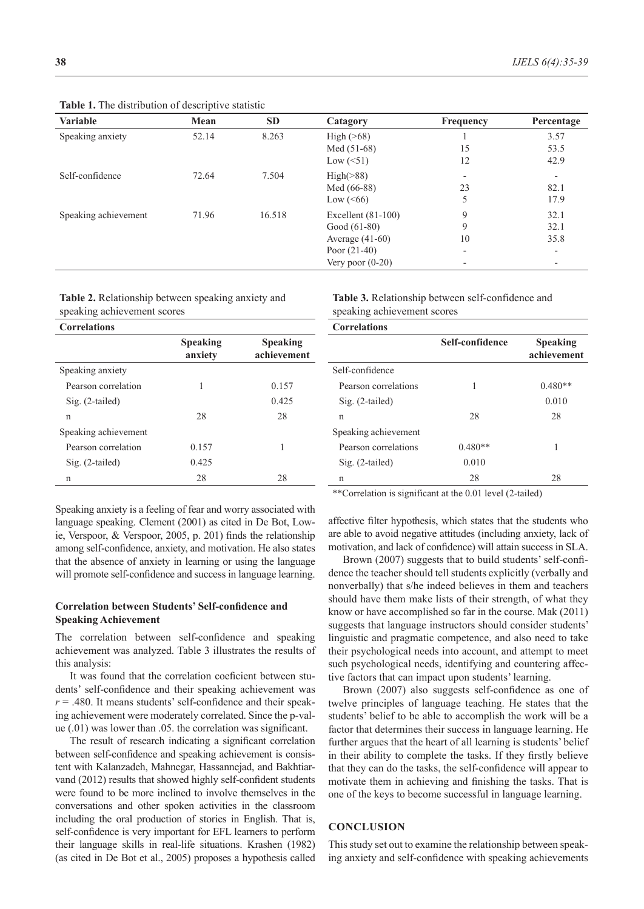| $\ldots$             |       |           |                      |                          |                          |
|----------------------|-------|-----------|----------------------|--------------------------|--------------------------|
| <b>Variable</b>      | Mean  | <b>SD</b> | Catagory             | <b>Frequency</b>         | Percentage               |
| Speaking anxiety     | 52.14 | 8.263     | High $($ >68)        |                          | 3.57                     |
|                      |       |           | Med $(51-68)$        | 15                       | 53.5                     |
|                      |       |           | Low $(\leq 51)$      | 12                       | 42.9                     |
| Self-confidence      | 72.64 | 7.504     | High( >88)           | $\overline{\phantom{a}}$ | $\overline{\phantom{a}}$ |
|                      |       |           | Med (66-88)          | 23                       | 82.1                     |
|                      |       |           | Low $(< 66)$         | 5                        | 17.9                     |
| Speaking achievement | 71.96 | 16.518    | Excellent $(81-100)$ | 9                        | 32.1                     |
|                      |       |           | Good $(61-80)$       | 9                        | 32.1                     |
|                      |       |           | Average $(41-60)$    | 10                       | 35.8                     |
|                      |       |           | Poor $(21-40)$       | $\overline{\phantom{a}}$ | $\overline{\phantom{a}}$ |
|                      |       |           | Very poor $(0-20)$   |                          | -                        |
|                      |       |           |                      |                          |                          |

**Table 1.** The distribution of descriptive statistic

**Table 2.** Relationship between speaking anxiety and speaking achievement scores

**Table 3.** Relationship between self‑confidence and speaking achievement scores

| <b>Correlations</b>  |                            |                                |  |  |  |
|----------------------|----------------------------|--------------------------------|--|--|--|
|                      | <b>Speaking</b><br>anxiety | <b>Speaking</b><br>achievement |  |  |  |
| Speaking anxiety     |                            |                                |  |  |  |
| Pearson correlation  | 1                          | 0.157                          |  |  |  |
| $Sig. (2-tailed)$    |                            | 0.425                          |  |  |  |
| n                    | 28                         | 28                             |  |  |  |
| Speaking achievement |                            |                                |  |  |  |
| Pearson correlation  | 0.157                      | 1                              |  |  |  |
| Sig. (2-tailed)      | 0.425                      |                                |  |  |  |
| n                    | 28                         | 28                             |  |  |  |

Speaking anxiety is a feeling of fear and worry associated with language speaking. Clement (2001) as cited in De Bot, Lowie, Verspoor, & Verspoor, 2005, p. 201) finds the relationship among self-confidence, anxiety, and motivation. He also states that the absence of anxiety in learning or using the language will promote self-confidence and success in language learning.

### **Correlation between Students' Self-confidence and Speaking Achievement**

The correlation between self-confidence and speaking achievement was analyzed. Table 3 illustrates the results of this analysis:

It was found that the correlation coeficient between students' self-confidence and their speaking achievement was  $r = .480$ . It means students' self-confidence and their speaking achievement were moderately correlated. Since the p-value (.01) was lower than .05. the correlation was significant.

The result of research indicating a significant correlation between self-confidence and speaking achievement is consistent with Kalanzadeh, Mahnegar, Hassannejad, and Bakhtiarvand (2012) results that showed highly self-confident students were found to be more inclined to involve themselves in the conversations and other spoken activities in the classroom including the oral production of stories in English. That is, self-confidence is very important for EFL learners to perform their language skills in real-life situations. Krashen (1982) (as cited in De Bot et al., 2005) proposes a hypothesis called **Correlations Self‑confidence Speaking achievement** Self-confidence Pearson correlations  $1$  0.480\*\* Sig. (2-tailed) 0.010 n 28 28 Speaking achievement Pearson correlations  $0.480**$  1 Sig. (2-tailed) 0.010 n 28 28

\*\*Correlation is significant at the 0.01 level (2‑tailed)

affective filter hypothesis, which states that the students who are able to avoid negative attitudes (including anxiety, lack of motivation, and lack of confidence) will attain success in SLA.

Brown (2007) suggests that to build students' self-confidence the teacher should tell students explicitly (verbally and nonverbally) that s/he indeed believes in them and teachers should have them make lists of their strength, of what they know or have accomplished so far in the course. Mak (2011) suggests that language instructors should consider students' linguistic and pragmatic competence, and also need to take their psychological needs into account, and attempt to meet such psychological needs, identifying and countering affective factors that can impact upon students' learning.

Brown (2007) also suggests self-confidence as one of twelve principles of language teaching. He states that the students' belief to be able to accomplish the work will be a factor that determines their success in language learning. He further argues that the heart of all learning is students' belief in their ability to complete the tasks. If they firstly believe that they can do the tasks, the self-confidence will appear to motivate them in achieving and finishing the tasks. That is one of the keys to become successful in language learning.

#### **CONCLUSION**

This study set out to examine the relationship between speaking anxiety and self-confidence with speaking achievements